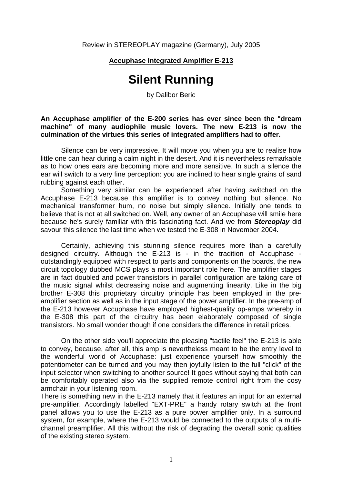Review in STEREOPLAY magazine (Germany), July 2005

## **Accuphase Integrated Amplifier E-213**

## **Silent Running**

by Dalibor Beric

**An Accuphase amplifier of the E-200 series has ever since been the "dream machine" of many audiophile music lovers. The new E-213 is now the culmination of the virtues this series of integrated amplifiers had to offer.** 

 Silence can be very impressive. It will move you when you are to realise how little one can hear during a calm night in the desert. And it is nevertheless remarkable as to how ones ears are becoming more and more sensitive. In such a silence the ear will switch to a very fine perception: you are inclined to hear single grains of sand rubbing against each other.

Something very similar can be experienced after having switched on the Accuphase E-213 because this amplifier is to convey nothing but silence. No mechanical transformer hum, no noise but simply silence. Initially one tends to believe that is not at all switched on. Well, any owner of an Accuphase will smile here because he's surely familiar with this fascinating fact. And we from *Stereoplay* did savour this silence the last time when we tested the E-308 in November 2004.

Certainly, achieving this stunning silence requires more than a carefully designed circuitry. Although the E-213 is - in the tradition of Accuphase outstandingly equipped with respect to parts and components on the boards, the new circuit topology dubbed MCS plays a most important role here. The amplifier stages are in fact doubled and power transistors in parallel configuration are taking care of the music signal whilst decreasing noise and augmenting linearity. Like in the big brother E-308 this proprietary circuitry principle has been employed in the preamplifier section as well as in the input stage of the power amplifier. In the pre-amp of the E-213 however Accuphase have employed highest-quality op-amps whereby in the E-308 this part of the circuitry has been elaborately composed of single transistors. No small wonder though if one considers the difference in retail prices.

 On the other side you'll appreciate the pleasing "tactile feel" the E-213 is able to convey, because, after all, this amp is nevertheless meant to be the entry level to the wonderful world of Accuphase: just experience yourself how smoothly the potentiometer can be turned and you may then joyfully listen to the full "click" of the input selector when switching to another source! It goes without saying that both can be comfortably operated also via the supplied remote control right from the cosy armchair in your listening room.

There is something new in the E-213 namely that it features an input for an external pre-amplifier. Accordingly labelled "EXT-PRE" a handy rotary switch at the front panel allows you to use the E-213 as a pure power amplifier only. In a surround system, for example, where the E-213 would be connected to the outputs of a multichannel preamplifier. All this without the risk of degrading the overall sonic qualities of the existing stereo system.